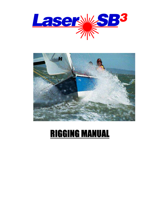



# **RIGGING MANUAL**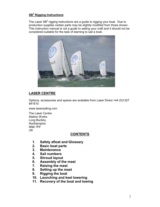### **SB<sup>3</sup> Rigging Instructions**

The Laser SB $^3$  rigging instructions are a guide to rigging your boat. Due to production supplies certain parts may be slightly modified from those shown. This instruction manual is not a guide to sailing your craft and it should not be considered suitable for the task of learning to sail a boat.



# **LASER CENTRE**

Options, accessories and spares are available from Laser Direct +44 (0)1327 841610

www.lasersailing.com

The Laser Centre Station Works Long Buckby Northampton NN6 7PF UK

#### **CONTENTS**

- **1. Safety afloat and Glossary**
- **2. Basic boat parts**
- **3. Maintenance**
- **4. Sail numbers**
- **5. Shroud layout**
- **6. Assembly of the mast**
- **7. Raising the mast**
- **8. Setting up the mast**
- **9. Rigging the boat**
- **10. Launching and keel lowering**
- **11. Recovery of the boat and towing**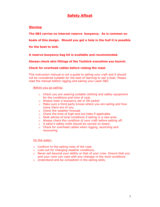# **Safety Afloat**

#### **Warning**

The SB3 carries no internal reserve buoyancy. As is common on

boats of this design. Should you get a hole in the hull it is possible

for the boat to sink.

A reserve buoyancy bag kit is available and recommended.

Always check skin fittings of the Tacktick everytime you launch.

Check for overhead cables before raising the mast.

This instruction manual is not a quide to sailing your craft and it should not be considered suitable for the task of learning to sail a boat. Please read the manual before rigging and sailing your Laser SB3

Before you go sailing:

- o Check you are wearing suitable clothing and safety equipment for the conditions and time of year.
- o Always wear a buoyancy aid or life jacket
- o Make sure a third party knows where you are sailing and how many there are of you.
- o Check the weather forecast
- o Check the time of high and low tides if applicable.
- o Seek advise of local conditions if sailing in a new area.
- o Always check the condition of your craft before setting off.
- o A sailor's safety knife should be carried on board.
- o Check for overhead cables when rigging, launching and recovering.

On the water:

- o Conform to the sailing rules of the road.
- o Look out for changing weather conditions.
- o Never sail beyond your ability or that of your crew. Ensure that you and your crew can cope with any changes in the wind conditions
- o Understand and be competent in the sailing skills.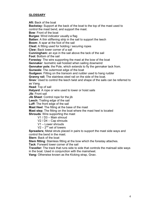#### **GLOSSARY**

**Aft:** Back of the boat **Backstay:** Support at the back of the boat to the top of the mast used to control the mast bend, and support the mast. **Bow**: Front of the boat **Burgee**: Wind indicator usually a flag **Batten:** A thin stiffening strip in the sail to support the leech **Boom**: A spar at the foot of the sail **Cleat:** A fitting used for holding / securing ropes **Clew:** Back lower corner of a sail **Cunningham:** an eye in the sail above the tack of the sail **Foot**: Bottom of the sail **Forestay**: The wire supporting the mast at the bow of the boat **Gennaker**: Isometric sail hoisted when sailing downwind **Gennaker pole**; the Pole, which extends to fly the gennaker tack from. **Gunwale:** The outermost edge of the boat **Gudgeon**: Fitting on the transom and rudder used to hang rudder **Granny rail**; The stainless steel rail on the side of the boat. **Gnav**: Used to control the leech twist and shape of the sails can be referred to as Vang. **Head**: Top of sail **Halyard**: A rope or wire used to lower or hoist sails **Jib**: Front sail **Jib Sheet**: Control rope for the jib **Leech:** Trailing edge of the sail **Luff:** The front edge of the sail **Mast Heel**: The fitting at the base of the mast **Mast step**; The fitting on the boat where the mast heel is located **Shrouds**: Wire supporting the mast V1 / D3 – Main shroud V2 / D4 – Cap shrouds V1 – Lower shrouds  $V2 - 2<sup>nd</sup>$  set of lowers **Spreaders;** Metal struts placed in pairs to support the mast side ways and control the bend in the mast.

**Stern**: Back of the boat

**Stem fitting:** Stainless fitting at the bow which the forestay attaches.

**Tack**: Forward lower corner of the sail

**Traveller:** The track that runs side to side that controls the mainsail side ways in the boat. Used in conjunction with the mainsheet.

**Vang:** Otherwise known as the Kicking strap, Gnav.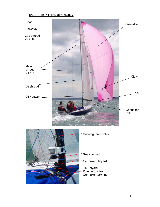#### **USEFUL BOAT TERMINOLOGY**

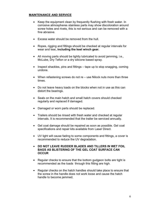#### **MAINTENANCE AND SERVICE**

- Keep the equipment clean by frequently flushing with fresh water. In corrosive atmospheres stainless parts may show discoloration around screw holes and rivets, this is not serious and can be removed with a fine abrasive.
- Excess water should be removed from the hull.
- Ropes, rigging and fittings should be checked at regular intervals for wear and tear**, including the keel winch gear.**
- All moving parts should be lightly lubricated to avoid jamming, i.e., McLube, Dry Teflon or a dry silicone based spray.
- Inspect shackles, pins and fittings tape up to stop snagging, coming undone.
- When refastening screws do not re use Nilock nuts more than three times.
- Do not leave heavy loads on the blocks when not in use as this can distort the bearings.
- Seals on the main hatch and small hatch covers should checked regularly and replaced if damaged.
- Damaged or worn parts should be replaced.
- Trailers should be rinsed with fresh water and checked at regular intervals. It is recommended that the trailer be serviced annually.
- Gel coat damage should be repaired as soon as possible. Gel coat specifications and repair kits available from Laser Direct.
- UV light will cause fading to some components and fittings, a cover is recommended to reduce the UV degradation.
- **DO NOT LEAVE RUDDER BLADES AND TILLERS IN WET FOIL BAGS AS BLISTERING OF THE GEL COAT SURFACE CAN OCCUR**
- Regular checks to ensure that the bottom gudgeon bolts are tight is recommended as the loads through this fitting are high.
- Regular checks on the hatch handles should take place to ensure that the screw in the handle does not work loose and cause the hatch handle to become jammed.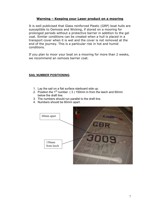#### Warning - Keeping your Laser product on a mooring

It is well publicised that Glass reinforced Plastic (GRP) boat hulls are susceptible to Osmosis and Wicking, if stored on a mooring for prolonged periods without a protective barrier in addition to the gel coat. Similar conditions can be created when a hull is placed in a transport cover when it is wet and the cover is not removed at the end of the journey. This is a particular risk in hot and humid conditions.

If you plan to moor your boat on a mooring for more than 2 weeks, we recommend an osmosis barrier coat.

#### **SAIL NUMBER POSITIONING**

- 1. Lay the sail on a flat surface starboard side up.
- 2. Position the  $1<sup>st</sup>$  number (3) 150mm in from the leech and 60mm below the draft line.
- 3. The numbers should run parallel to the draft line.
- 4. Numbers should be 60mm apart.

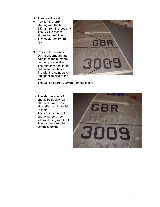- 5. Turn over the sail
- 6. Position the GBR starting with the R 180mm from the leech
- 7. The GBR is 60mm above the draft line.
- 8. The letters are 60mm apart.
- 9. Position the sail nos 60mm underneath and parallel to the numbers on the opposite side.
- 10. The numbers should be put on so that they are in line with the numbers on the opposite side of the sail.



- 11. This will be approx 200mm from the leech.
- 12. The starboard side GBR should be positioned 60mm above the port side letters and parallel to them.
- 13. The letters should sit above the port side letters starting with the G
- 14. The gap between the letters is 60mm.

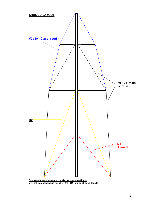

**D shrouds are diagonals, V shrouds are verticals V1 / D3 is a continous length, V2 / D4 is a continous length.**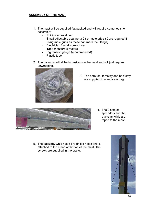#### **ASSEMBLY OF THE MAST**

- 1. The mast will be supplied flat packed and will require some tools to assemble:
	- Phillips screw driver
	- Small adjustable spanner x 2 ( or mole grips ) Care required if using mole grips as these can mark the fittings)
	- Electrician / small screwdriver
	- Tape measure 5 meters
	- Rig tension gauge (recommended)
	- Plastic tape
- 2. The halyards will all be in position on the mast and will just require unwrapping.



3. The shrouds, forestay and backstay are supplied in a separate bag.



- 4. The 2 sets of spreaders and the backstay whip are taped to the mast.
- 5. The backstay whip has 3 pre-drilled holes and is attached to the crane at the top of the mast. The screws are supplied in the crane.

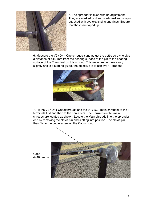

6. The spreader is fixed with no adjustment. They are marked port and starboard and simply attached with two clevis pins and rings. Ensure that these are taped up.

6. Measure the V2 / D4 ( Cap shrouds ) and adjust the bottle screw to give a distance of 4440mm from the bearing surface of the pin to the bearing surface of the T terminal on this shroud. This measurement may vary slightly and is a starting guide, the objective is to achieve 4" prebend.



7. Fit the V2 / D4 ( Caps)shrouds and the V1 / D3 ( main shrouds) to the T terminals first and then to the spreaders. The Ferrules on the main shrouds are located as shown. Locate the Main shrouds into the spreader end by removing the clevis pin and slotting into position. The clevis pin then fits to the bottle screw on the Cap shroud.

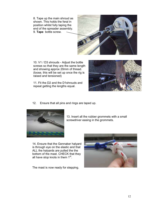8. Tape up the main shroud as shown. This holds the feral in position whilst fully taping the end of the spreader assembly. 9. **Tape** bottle screw.



10. V1 / D3 shrouds - Adjust the bottle screws so that they are the same length and showing approx 20mm of thread. (loose, this will be set up once the rig is raised and tensioned)

11. Fit the D2 and the D1shrouds and repeat getting the lengths equal.



12. Ensure that all pins and rings are taped up.



13. Insert all the rubber grommets with a small screwdriver easing in the grommets.

14. Ensure that the Gennaker halyard is through eye on the elastic and that ALL the halyards are pulled the the bottom of the mast. CHECK that they all have stop knots in them  $1<sup>st</sup>$ .

The mast is now ready for stepping.

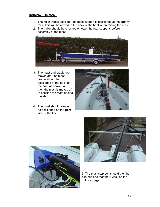#### **RAISING THE MAST**

- 1. The rig in transit position. The mast support is positioned at the granny rails. This will be moved to the back of the boat when raising the mast.
- 2. The trailer should be chocked or lower the rear supports before assembly of the mast.



- 3. The mast and cradle are moved aft. The mast cradle should be positioned at the back of the boat as shown, and then the mast is moved aft to position the mast heel to the step.
- 4. The mast should always be positioned on the **port**  side of the keel.







5. The mast step bolt should then be tightened so that the Nylock on the nut is engaged.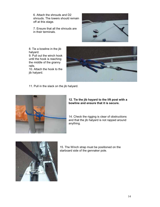6. Attach the shrouds and D2 shrouds. The lowers should remain off at this stage.

7. Ensure that all the shrouds are in their terminals.



8. Tie a bowline in the jib halyard. 9. Pull out the winch hook

until the hook is reaching the middle of the granny rails.

10. Attach the hook to the jib halyard.



11. Pull in the slack on the jib halyard.



#### **12. Tie the jib hayard to the lift post with a bowline and ensure that it is secure.**

14. Check the rigging is clear of obstructions and that the jib halyard is not rapped around anything.



15. The Winch strap must be positioned on the starboard side of the gennaker pole.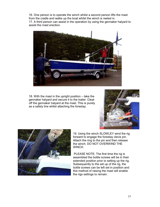16. One person is to operate the winch whilst a second person lifts the mast from the cradle and walks up the boat whilst the winch is reeled in. 17. A third person can assist in the operation by using the gennaker halyard to assist the mast erection.



18. With the mast in the upright position – take the gennaker halyard and secure it to the trailer. Cleat off the gennaker halyard at the mast. This is purely as a safety line whilst attaching the forestay.





19. Using the winch SLOWLEY wind the rig forward to engage the forestay clevis pin. Attach the ring to the pin and then release the winch. DO NOT OVERWIND THE WINCH.

 PLEASE NOTE; The first time the rig is assembled the bottle screws will be in their extended position prior to setting up the rig. Subsequently to the set up of the rig, the bottle screws can be left set in position and this method of raising the mast will enable the rigs settings to remain.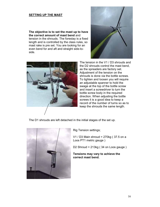#### **SETTING UP THE MAST**

**The objective is to set the mast up to have the correct amount of mast bend** and tension in the shrouds. The forestay is a fixed length and is controlled by the class rules, so mast rake is pre set. You are looking for an even bend for and aft and straight side-toside.





The tension in the V1 / D3 shrouds and the D2 shrouds control the mast bend, as the spreaders are factory set. Adjustment of the tension on the shrouds is done via the bottle screws. To tighten and loosen you will require an adjustable spanner to hold the swage at the top of the bottle screw and insert a screwdriver to turn the bottle screw body in the required direction. When adjusting the bottle screws it is a good idea to keep a record of the number of turns so as to keep the shrouds the same length.

The D1 shrouds are left detached in the initial stages of the set up.



Rig Tension settings;

V1 / D3 Main shroud = 270kg ( 37.5 on a Loos PT1 metric gauge )

D2 Shroud = 213kg ( 34 on Loos gauge )

**Tensions may vary to achieve the correct mast bend.**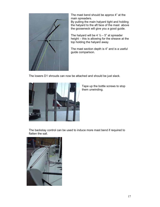

The mast bend should be approx 4" at the main spreaders.

By pulling the main halyard tight and holding the halyard to the aft face of the mast above the gooseneck will give you a good guide.

The halyard will be  $4\frac{1}{2} - 5$ " at spreader height – this is allowing for the sheave at the top holding the halyard away.

The mast section depth is 4" and is a useful guide comparison.

The lowers D1 shrouds can now be attached and should be just slack.



Tape up the bottle screws to stop them unwinding.

The backstay control can be used to induce more mast bend if required to flatten the sail.

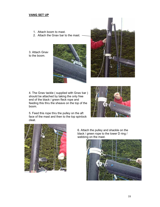#### **VANG SET UP**

- 1. Attach boom to mast.
- 2. Attach the Gnav bar to the mast.

3. Attach Gnav to the boom.





4. The Gnav tackle ( supplied with Gnav bar ) should be attached by taking the only free end of the black / green fleck rope and feeding this thru the sheave on the top of the boom.



5. Feed this rope thru the pulley on the aft face of the mast and then to the top spinlock cleat.



6. Attach the pulley and shackle on the black / green rope to the lower D ring / webbing on the mast.

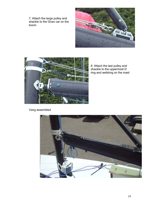7. Attach the large pulley and shackle to the Gnav car on the boom.





8. Attach the last pulley and shackle to the uppermost D ring and webbing on the mast

Vang assembled

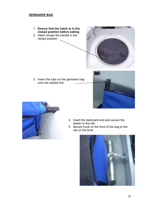#### **GENNAKER BAG**

- 1. **Ensure that the hatch is in the closed position before sailing**
- 2. Hatch shows the handle in the closed position



3. Insert the tube on the gennaker bag onto the bobble first





- 4. Insert the starboard end and secure the elastic to the clip
- 5. Secure hook on the front of the bag to the clip on the boat

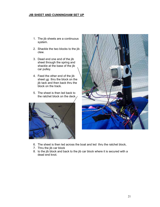#### **JIB SHEET AND CUNNINGHAM SET UP**

- 1. The jib sheets are a continuous system.
- 2. Shackle the two blocks to the jib clew.
- 3. Dead end one end of the jib sheet through the spring and shackle at the base of the jib car pulley.
- 4. Feed the other end of the jib sheet up thru the block on the jib tack and then back thru the block on the track.
- 5. The sheet is then led back to the ratchet block on the deck.





- 6. The sheet is then led across the boat and led thru the ratchet block,
- 7. Thru the jib car block
- 8. to the jib block and back to the jib car block where it is secured with a dead end knot.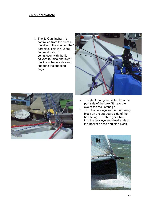#### **JIB CUNNINGHAM**

1. The jib Cunningham is controlled from the cleat at the side of the mast on the port side. This is a useful control if used in conjunction with the jib halyard to raise and lower the jib on the forestay and fine tune the sheeting angle





- 2. The jib Cunningham is led from the port side of the bow fitting to the eye at the tack of the jib.
- 3. Thru the tack eye and to the turning block on the starboard side of the bow fitting. This then goes back thru the tack eye and dead ends at the Becket on the port side block.

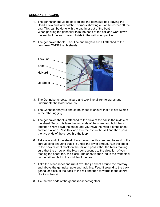#### **GENNAKER RIGGING**

- 1. The gennaker should be packed into the gennaker bag leaving the Head, Clew and tack patched corners showing out of the corner off the bag. This can be done with the bag in or out of the boat. When packing the gennaker take the head of the sail and work down the leech of the sail to avoid twists in the sail when packing.
- 2. The gennaker sheets, Tack line and halyard are all attached to the gennaker OVER the jib sheets.



- 3. The Gennaker sheets, halyard and tack line all run forwards and underneath the lower shrouds.
- 4. The Gennaker halyard should be check to ensure that it is not twisted in the other rigging.
- 5. The gennaker sheet is attached to the clew of the sail in the middle of the sheet. To do this take the two ends of the sheet and hold them together. Work down the sheet until you have the middle of the sheet and form a loop. Pass this loop thru the eye in the sail and then pass the two ends of the sheet thru the loop.
- 6. Take one end of the sheet. Pass it over the jib sheet and forward of the shroud plate ensuring that it is under the lower shroud. Run the sheet to the back ratchet block on the rail and pass it thru the block making sure that the arrow on the block corresponds to the direction of you feeding the sheet thru the block. The sheet is then led to the front block on the rail and left in the middle of the boat.
- 7. Take the other sheet and run it over the jib sheet around the forestay and above the gennaker pole and tack line. Feed it around to the back gennaker block at the back of the rail and then forwards to the centre block on the rail.
- 8. Tie the two ends of the gennaker sheet together.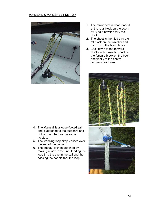#### **MAINSAIL & MAINSHEET SET UP**



- 1. The mainsheet is dead-ended at the rear block on the boom by tying a bowline thru the block.
- 2. The sheet is then led thru the aft block on the traveller and back up to the boom block.
- 3. Back down to the forward block on the traveller, back to the forward block on the boom and finally to the centre jammer cleat base.



- 4. The Mainsail is a loose-footed sail and is attached to the outboard end of the boom **before** the sail is hoisted.
- 5. The webbing loop simply slides over the end of the boom.
- 6. The outhaul is then attached by making a loop in the line, feeding the loop thru the eye in the sail and then passing the bobble thru the loop.

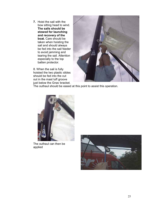**7.** Hoist the sail with the bow sitting head to wind. **The sails should be stowed for launching and recovery of the boat.** Care should be taken when hoisting the sail and should always be fed into the sail feeder to avoid jamming and tearing the sail. Attention especially to the top batten protector.

8. When the sail is fully hoisted the two plastic slides should be fed into the cut out in the mast luff groove just below the Gnav bracket.



The outhaul should be eased at this point to assist this operation.



The outhaul can then be applied

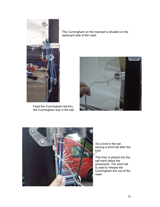

Feed the Cunningham tail thru the Cunningham eye in the sail.

The Cunningham on the mainsail is situated on the starboard side of the mast.





Tie a knot in the tail leaving a short tail after the knot

This then is placed into the sail track below the gooseneck. The short tail is used to release the Cunningham line out of the mast.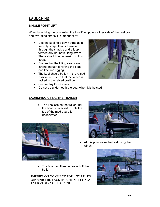# **LAUNCHING**

#### **SINGLE POINT LIFT**

When launching the boat using the two lifting points either side of the keel box and two lifting straps it is important to:

- Use the keel hold down strap as a security strap. This is threaded through the shackle and a loop formed around both lifting straps. There should be no tension in this strap.
- Ensure that the lifting straps are strong enough for lifting the boat and keel inc rigging.
- The keel should be left in the raised position – Ensure that the winch is locked in the raised position.
- Secure any loose items



#### **LAUNCHING USING THE TRAILER**

• The keel sits on the trailer until the boat is reversed in until the top of the mud guard is underwater.





- At this point raise the keel using the winch.
- The boat can then be floated off the trailer.

#### **IMPORTANT TO CHECK FOR ANY LEAKS AROUND THE TACKTICK SKIN FITTINGS EVERYTIME YOU LAUNCH.**

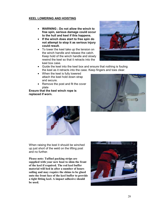#### **KEEL LOWERING AND HOISTING**

- **WARNING ; Do not allow the winch to free spin, serious damage could occur to the hull and keel if this happens.**
- **If the winch does start to free spin do not attempt to stop it as serious injury could result.**
- To lower the keel take up the tension on the winch handle and release the catch. Keep hold of the winch handle and slowly rewind the keel so that it retracts into the keel box case.



- Guide the keel into the keel box and ensure that nothing is fouling the keel as it retracts into the case. Keep fingers and toes clear.
- When the keel is fully lowered attach the keel hold down strap and secure.
- Remove the post and fit the cover plate

**Ensure that the keel winch rope is replaced if worn.** 





When raising the keel it should be winched up just short of the weld on the lifting post and no further.

**Please note: Tuffnel packing strips are supplied with your new boat to shim the front of the keel if required. The red keel buffer material will bed in after a number of hours sailing and may require the shims to be glued onto the front face of the keel buffer to provide a tight fitting keel. A impact adhesive should be used.** 

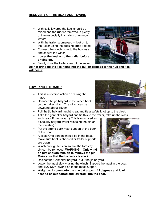## **RECOVERY OF THE BOAT AND TOWING**

- With sails lowered the keel should be raised and the rudder removed in plenty of time especially in shallow or unknown waters
- With the trailer submerged float on to the trailer using the docking arms if fitted.
- Connect the winch hook to the bow eye and secure the winch.
- **Lower the keel onto the trailer before driving off.**



• Slowly drive the trailer clear of the water.

**Do not grind up the keel tight into the hull or damage to the hull and keel will occur**

#### **LOWERING THE MAST;**

- This is a reverse action on raising the mast.
- Connect the jib halyard to the winch hook on the trailer winch. The winch can be unwound about 150cm.
- Pull the jib halyard taught, cleat and tie a safety knot up to the cleat.
- Take the gennaker halyard and tie this to the trailer, take up the slack
	- and cleat off the halyard( This is only used as a security halyard whilst releasing the pin on the forestay)
- Put the strong back mast support at the back of the boat.
- At least One person should be in the boat, make sure boat is chocked or trailer supports are down.
- Winch enough tension so that the forestay pin can be removed. **WARNING – Only wind on just enough tension to remove the pin. Make sure that the backstay is slack.**
- Uncleat the Gennaker halyard. **NOT** the jib halyard.
- Lower the mast slowly using the winch. Support the mast in the boat and **SLOWLY** lower it on to the mast support.
- **Weight will come onto the mast at approx 45 degrees and it will need to be supported and lowered into the boat.**